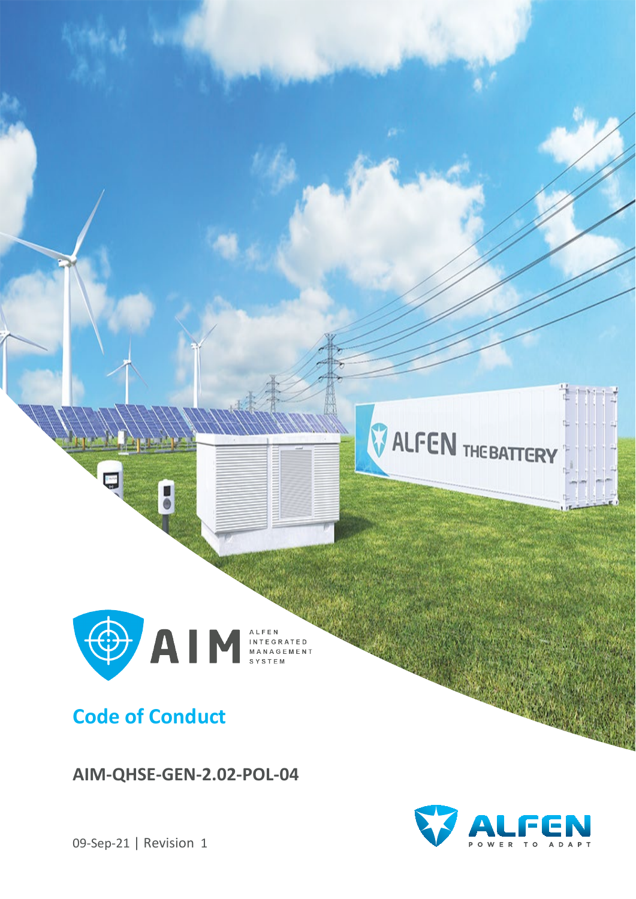

**AIM-QHSE-GEN-2.02-POL-04**



09-Sep-21 | Revision 1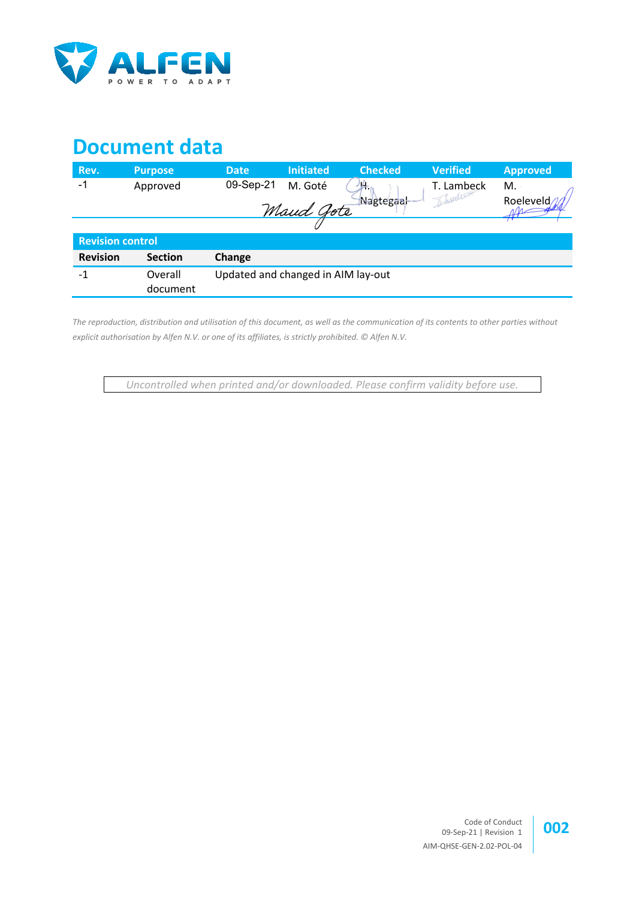

# **Document data**

| Rev.                    | <b>Purpose</b> | <b>Date</b>                        | <b>Initiated</b> | <b>Checked</b> | <b>Verified</b> | <b>Approved</b> |
|-------------------------|----------------|------------------------------------|------------------|----------------|-----------------|-----------------|
| -1                      | Approved       | 09-Sep-21                          | M. Goté          | 46             | T. Lambeck      | М.              |
|                         |                |                                    | Maud Gote        | Nagtegaal      | Downtree        | Roeleveld       |
|                         |                |                                    |                  |                |                 |                 |
| <b>Revision control</b> |                |                                    |                  |                |                 |                 |
| <b>Revision</b>         | <b>Section</b> | Change                             |                  |                |                 |                 |
| $-1$                    | Overall        | Updated and changed in AIM lay-out |                  |                |                 |                 |
|                         | document       |                                    |                  |                |                 |                 |

*The reproduction, distribution and utilisation of this document, as well as the communication of its contents to other parties without explicit authorisation by Alfen N.V. or one of its affiliates, is strictly prohibited. © Alfen N.V.* 

*Uncontrolled when printed and/or downloaded. Please confirm validity before use.*

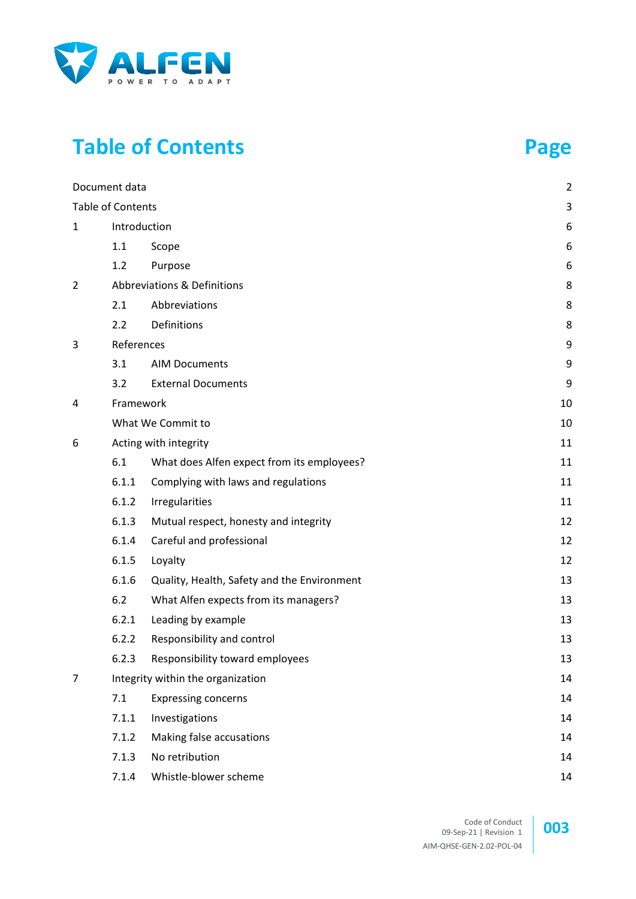

# **Table of Contents Page**

|                | Document data            |                                             | $\overline{2}$ |  |
|----------------|--------------------------|---------------------------------------------|----------------|--|
|                | <b>Table of Contents</b> |                                             | 3              |  |
| $\mathbf{1}$   |                          | Introduction                                | 6              |  |
|                | 1.1                      | Scope                                       | 6              |  |
|                | 1.2                      | Purpose                                     | 6              |  |
| $\overline{2}$ |                          | Abbreviations & Definitions                 | 8              |  |
|                | 2.1                      | Abbreviations                               | 8              |  |
|                | 2.2                      | Definitions                                 | 8              |  |
| 3              | References               |                                             | 9              |  |
|                | 3.1                      | <b>AIM Documents</b>                        | 9              |  |
|                | 3.2                      | <b>External Documents</b>                   | 9              |  |
| 4              | Framework                |                                             | 10             |  |
|                |                          | What We Commit to                           |                |  |
| 6              |                          | Acting with integrity                       |                |  |
|                | 6.1                      | What does Alfen expect from its employees?  | 11             |  |
|                | 6.1.1                    | Complying with laws and regulations         | 11             |  |
|                | 6.1.2                    | Irregularities                              | 11             |  |
|                | 6.1.3                    | Mutual respect, honesty and integrity       | 12             |  |
|                | 6.1.4                    | Careful and professional                    | 12             |  |
|                | 6.1.5                    | Loyalty                                     | 12             |  |
|                | 6.1.6                    | Quality, Health, Safety and the Environment | 13             |  |
|                | 6.2                      | What Alfen expects from its managers?       | 13             |  |
|                | 6.2.1                    | Leading by example                          | 13             |  |
|                | 6.2.2                    | Responsibility and control                  | 13             |  |
|                | 6.2.3                    | Responsibility toward employees             | 13             |  |
| 7              |                          | Integrity within the organization           |                |  |
|                | 7.1                      | <b>Expressing concerns</b>                  | 14             |  |
|                | 7.1.1                    | Investigations                              | 14             |  |
|                | 7.1.2                    | Making false accusations                    | 14             |  |
|                | 7.1.3                    | No retribution                              | 14             |  |
|                | 7.1.4                    | Whistle-blower scheme                       | 14             |  |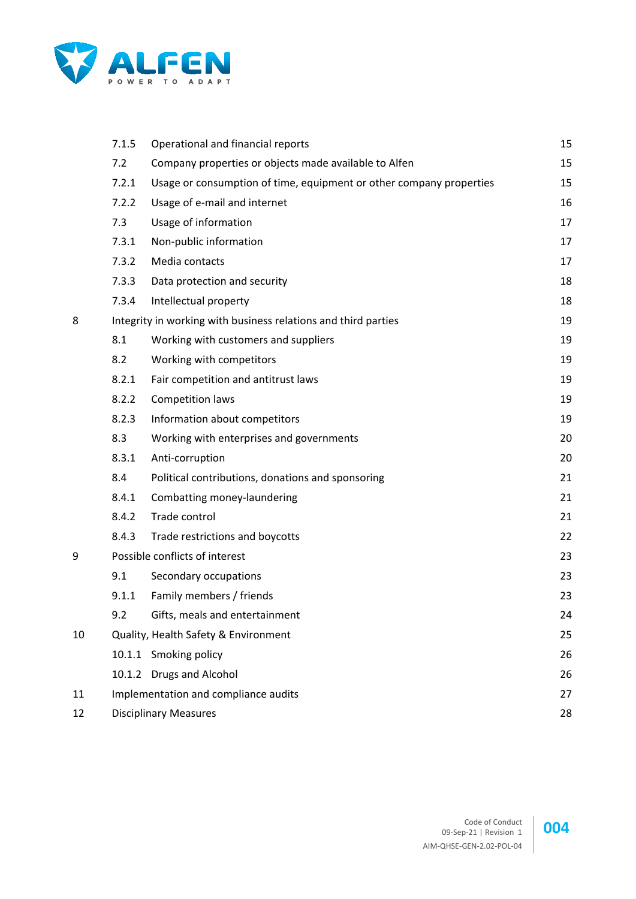

|    | 7.1.5 | Operational and financial reports                                   | 15 |
|----|-------|---------------------------------------------------------------------|----|
|    | 7.2   | Company properties or objects made available to Alfen               | 15 |
|    | 7.2.1 | Usage or consumption of time, equipment or other company properties | 15 |
|    | 7.2.2 | Usage of e-mail and internet                                        | 16 |
|    | 7.3   | Usage of information                                                | 17 |
|    | 7.3.1 | Non-public information                                              | 17 |
|    | 7.3.2 | Media contacts                                                      | 17 |
|    | 7.3.3 | Data protection and security                                        | 18 |
|    | 7.3.4 | Intellectual property                                               | 18 |
| 8  |       | Integrity in working with business relations and third parties      | 19 |
|    | 8.1   | Working with customers and suppliers                                | 19 |
|    | 8.2   | Working with competitors                                            | 19 |
|    | 8.2.1 | Fair competition and antitrust laws                                 | 19 |
|    | 8.2.2 | Competition laws                                                    | 19 |
|    | 8.2.3 | Information about competitors                                       | 19 |
|    | 8.3   | Working with enterprises and governments                            | 20 |
|    | 8.3.1 | Anti-corruption                                                     | 20 |
|    | 8.4   | Political contributions, donations and sponsoring                   | 21 |
|    | 8.4.1 | Combatting money-laundering                                         | 21 |
|    | 8.4.2 | Trade control                                                       | 21 |
|    | 8.4.3 | Trade restrictions and boycotts                                     | 22 |
| 9  |       | Possible conflicts of interest                                      | 23 |
|    | 9.1   | Secondary occupations                                               | 23 |
|    | 9.1.1 | Family members / friends                                            | 23 |
|    | 9.2   | Gifts, meals and entertainment                                      | 24 |
| 10 |       | Quality, Health Safety & Environment                                | 25 |
|    |       | 10.1.1 Smoking policy                                               | 26 |
|    |       | 10.1.2 Drugs and Alcohol                                            | 26 |
| 11 |       | Implementation and compliance audits                                | 27 |
| 12 |       | <b>Disciplinary Measures</b>                                        | 28 |

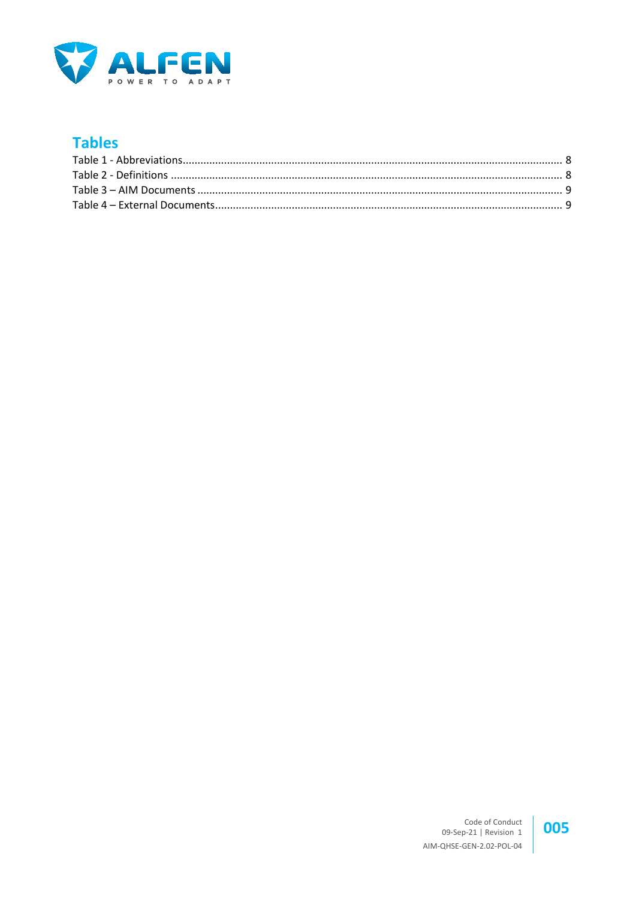

## **Tables**

#### 005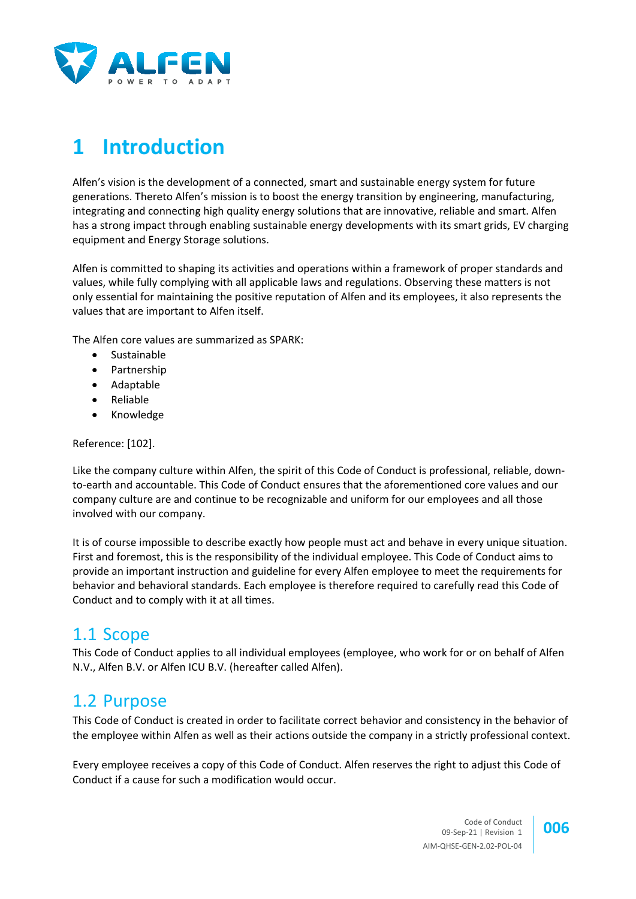

# **1 Introduction**

Alfen's vision is the development of a connected, smart and sustainable energy system for future generations. Thereto Alfen's mission is to boost the energy transition by engineering, manufacturing, integrating and connecting high quality energy solutions that are innovative, reliable and smart. Alfen has a strong impact through enabling sustainable energy developments with its smart grids, EV charging equipment and Energy Storage solutions.

Alfen is committed to shaping its activities and operations within a framework of proper standards and values, while fully complying with all applicable laws and regulations. Observing these matters is not only essential for maintaining the positive reputation of Alfen and its employees, it also represents the values that are important to Alfen itself.

The Alfen core values are summarized as SPARK:

- Sustainable
- Partnership
- Adaptable
- Reliable
- Knowledge

Reference: [\[102\].](#page-8-2)

Like the company culture within Alfen, the spirit of this Code of Conduct is professional, reliable, downto-earth and accountable. This Code of Conduct ensures that the aforementioned core values and our company culture are and continue to be recognizable and uniform for our employees and all those involved with our company.

It is of course impossible to describe exactly how people must act and behave in every unique situation. First and foremost, this is the responsibility of the individual employee. This Code of Conduct aims to provide an important instruction and guideline for every Alfen employee to meet the requirements for behavior and behavioral standards. Each employee is therefore required to carefully read this Code of Conduct and to comply with it at all times.

## 1.1 Scope

This Code of Conduct applies to all individual employees (employee, who work for or on behalf of Alfen N.V., Alfen B.V. or Alfen ICU B.V. (hereafter called Alfen).

## 1.2 Purpose

This Code of Conduct is created in order to facilitate correct behavior and consistency in the behavior of the employee within Alfen as well as their actions outside the company in a strictly professional context.

Every employee receives a copy of this Code of Conduct. Alfen reserves the right to adjust this Code of Conduct if a cause for such a modification would occur.

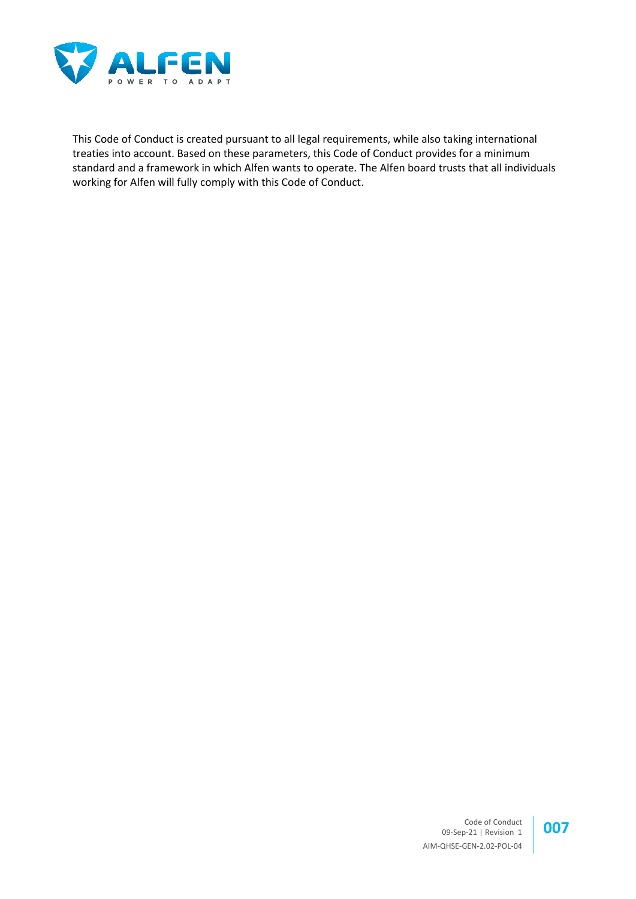

This Code of Conduct is created pursuant to all legal requirements, while also taking international treaties into account. Based on these parameters, this Code of Conduct provides for a minimum standard and a framework in which Alfen wants to operate. The Alfen board trusts that all individuals working for Alfen will fully comply with this Code of Conduct.

> Code of Conduct Code of Conduct<br>09-Sep-21 | Revision 1 **007** AIM-QHSE-GEN-2.02-POL-04

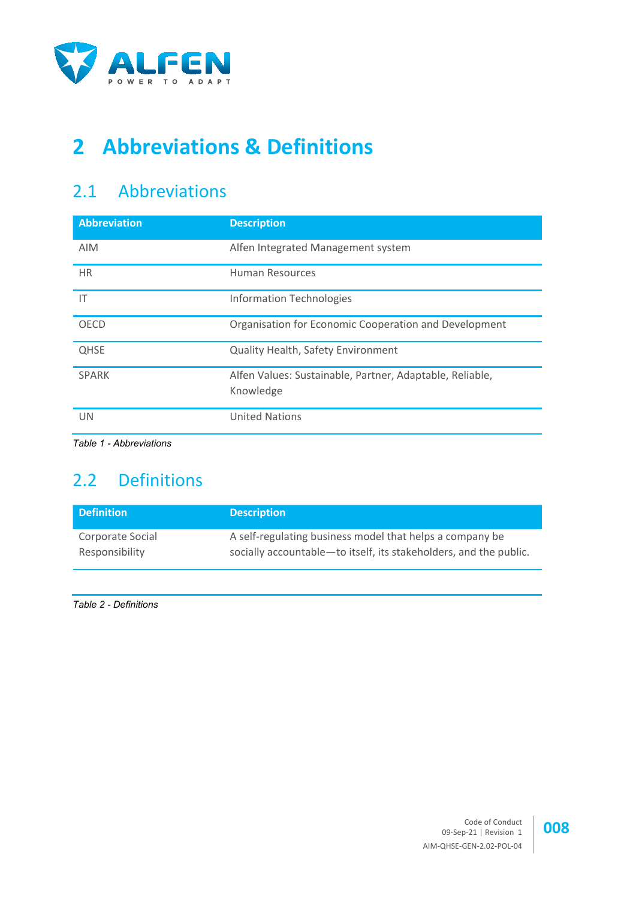

# **2 Abbreviations & Definitions**

## 2.1 Abbreviations

| <b>Abbreviation</b>     | <b>Description</b>                                                    |
|-------------------------|-----------------------------------------------------------------------|
| <b>AIM</b>              | Alfen Integrated Management system                                    |
| <b>HR</b>               | <b>Human Resources</b>                                                |
| IT                      | <b>Information Technologies</b>                                       |
| <b>OECD</b>             | Organisation for Economic Cooperation and Development                 |
| <b>QHSE</b>             | Quality Health, Safety Environment                                    |
| <b>SPARK</b>            | Alfen Values: Sustainable, Partner, Adaptable, Reliable,<br>Knowledge |
| <b>UN</b>               | <b>United Nations</b>                                                 |
| Table 1 - Abbreviations |                                                                       |

## <span id="page-7-0"></span>2.2 Definitions

| <b>Definition</b> | <b>Description</b>                                                  |
|-------------------|---------------------------------------------------------------------|
| Corporate Social  | A self-regulating business model that helps a company be            |
| Responsibility    | socially accountable - to itself, its stakeholders, and the public. |

<span id="page-7-1"></span>*Table 2 - Definitions*

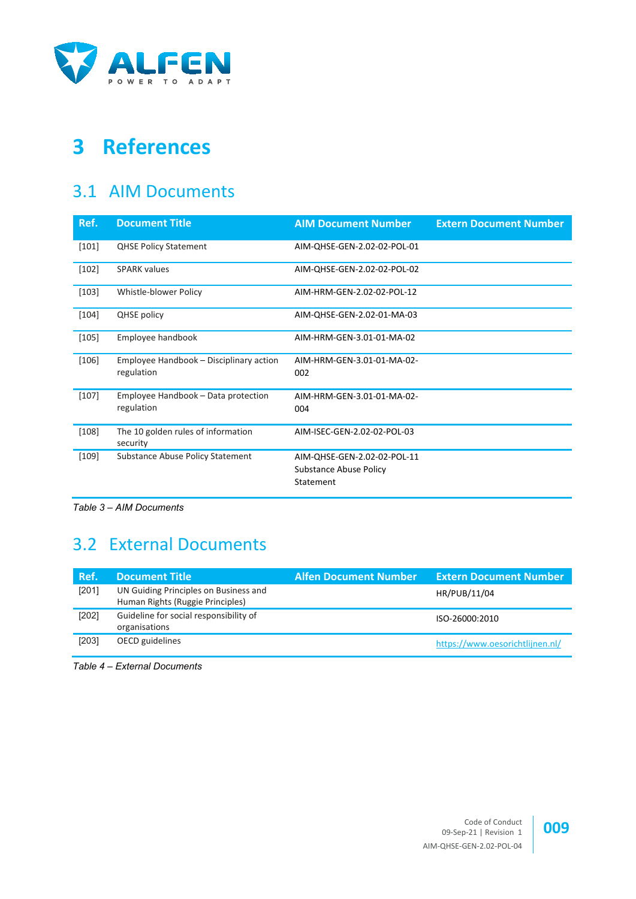

# **3 References**

## 3.1 AIM Documents

<span id="page-8-10"></span><span id="page-8-8"></span><span id="page-8-6"></span><span id="page-8-5"></span><span id="page-8-2"></span>

| Ref.    | <b>Document Title</b>                                 | <b>AIM Document Number</b>                                         | <b>Extern Document Number</b> |
|---------|-------------------------------------------------------|--------------------------------------------------------------------|-------------------------------|
| $[101]$ | <b>QHSE Policy Statement</b>                          | AIM-QHSE-GEN-2.02-02-POL-01                                        |                               |
| $[102]$ | <b>SPARK values</b>                                   | AIM-QHSE-GEN-2.02-02-POL-02                                        |                               |
| $[103]$ | Whistle-blower Policy                                 | AIM-HRM-GEN-2.02-02-POL-12                                         |                               |
| $[104]$ | <b>QHSE</b> policy                                    | AIM-QHSE-GEN-2.02-01-MA-03                                         |                               |
| $[105]$ | Employee handbook                                     | AIM-HRM-GEN-3.01-01-MA-02                                          |                               |
| $[106]$ | Employee Handbook - Disciplinary action<br>regulation | AIM-HRM-GEN-3.01-01-MA-02-<br>002                                  |                               |
| $[107]$ | Employee Handbook - Data protection<br>regulation     | AIM-HRM-GEN-3.01-01-MA-02-<br>004                                  |                               |
| $[108]$ | The 10 golden rules of information<br>security        | AIM-ISEC-GEN-2.02-02-POL-03                                        |                               |
| $[109]$ | Substance Abuse Policy Statement                      | AIM-QHSE-GEN-2.02-02-POL-11<br>Substance Abuse Policy<br>Statement |                               |

<span id="page-8-9"></span><span id="page-8-7"></span><span id="page-8-0"></span>*Table 3 – AIM Documents*

## 3.2 External Documents

<span id="page-8-3"></span>

| Ref.  | <b>Document Title</b>                                                     | <b>Alfen Document Number</b> | <b>Extern Document Number</b>   |
|-------|---------------------------------------------------------------------------|------------------------------|---------------------------------|
| [201] | UN Guiding Principles on Business and<br>Human Rights (Ruggie Principles) |                              | HR/PUB/11/04                    |
| [202] | Guideline for social responsibility of<br>organisations                   |                              | ISO-26000:2010                  |
| [203] | OECD guidelines                                                           |                              | https://www.oesorichtlijnen.nl/ |

<span id="page-8-4"></span><span id="page-8-1"></span>*Table 4 – External Documents*

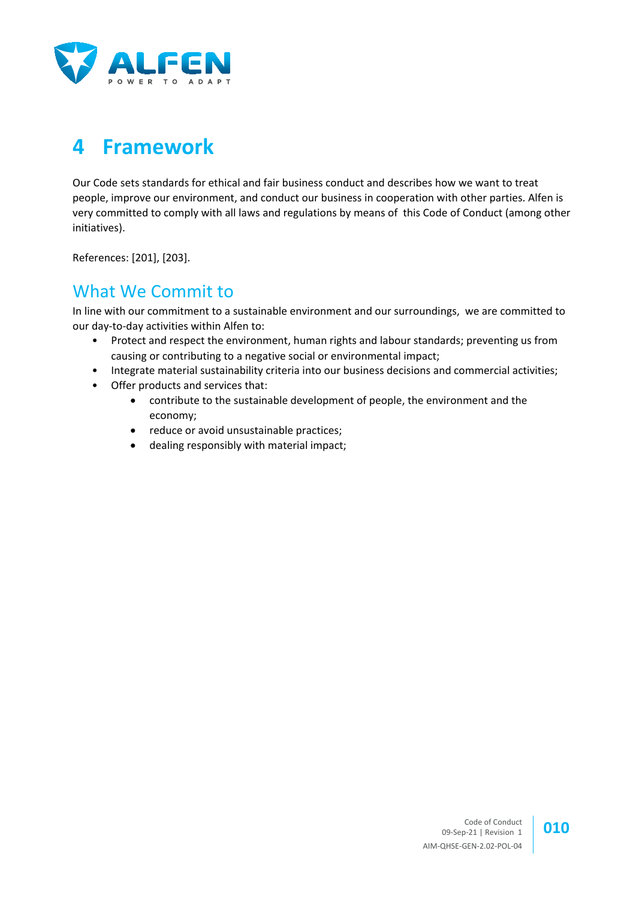

# **4 Framework**

Our Code sets standards for ethical and fair business conduct and describes how we want to treat people, improve our environment, and conduct our business in cooperation with other parties. Alfen is very committed to comply with all laws and regulations by means of this Code of Conduct (among other initiatives).

References: [\[201\],](#page-8-3) [\[203\].](#page-8-4)

## What We Commit to

In line with our commitment to a sustainable environment and our surroundings, we are committed to our day-to-day activities within Alfen to:

- Protect and respect the environment, human rights and labour standards; preventing us from causing or contributing to a negative social or environmental impact;
- Integrate material sustainability criteria into our business decisions and commercial activities;
- Offer products and services that:
	- contribute to the sustainable development of people, the environment and the economy;
	- reduce or avoid unsustainable practices;
	- dealing responsibly with material impact;

Code of Conduct 09-Sep-21 | Revision 1 **010** AIM-QHSE-GEN-2.02-POL-04

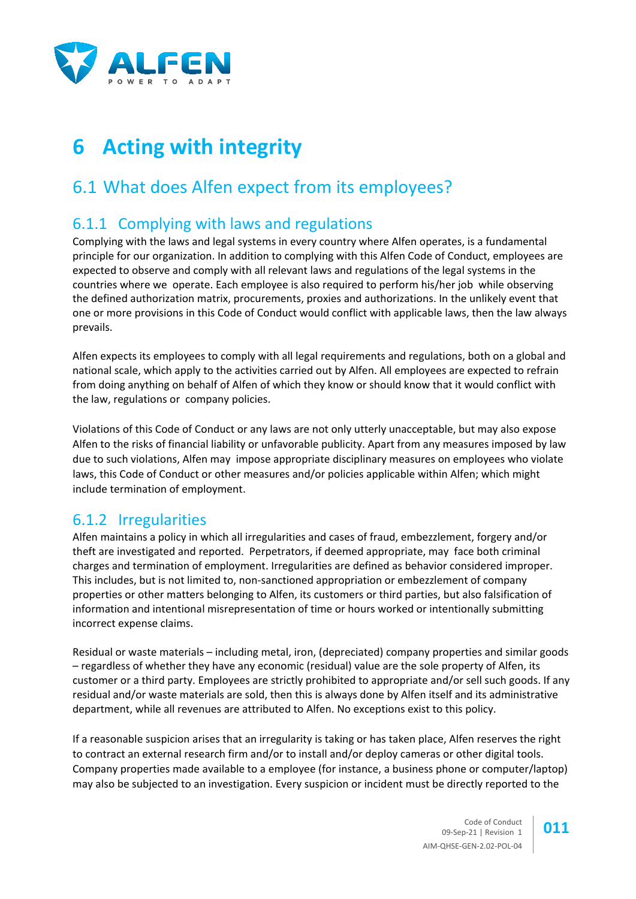

# **6 Acting with integrity**

## 6.1 What does Alfen expect from its employees?

## 6.1.1 Complying with laws and regulations

Complying with the laws and legal systems in every country where Alfen operates, is a fundamental principle for our organization. In addition to complying with this Alfen Code of Conduct, employees are expected to observe and comply with all relevant laws and regulations of the legal systems in the countries where we operate. Each employee is also required to perform his/her job while observing the defined authorization matrix, procurements, proxies and authorizations. In the unlikely event that one or more provisions in this Code of Conduct would conflict with applicable laws, then the law always prevails.

Alfen expects its employees to comply with all legal requirements and regulations, both on a global and national scale, which apply to the activities carried out by Alfen. All employees are expected to refrain from doing anything on behalf of Alfen of which they know or should know that it would conflict with the law, regulations or company policies.

Violations of this Code of Conduct or any laws are not only utterly unacceptable, but may also expose Alfen to the risks of financial liability or unfavorable publicity. Apart from any measures imposed by law due to such violations, Alfen may impose appropriate disciplinary measures on employees who violate laws, this Code of Conduct or other measures and/or policies applicable within Alfen; which might include termination of employment.

## 6.1.2 Irregularities

Alfen maintains a policy in which all irregularities and cases of fraud, embezzlement, forgery and/or theft are investigated and reported. Perpetrators, if deemed appropriate, may face both criminal charges and termination of employment. Irregularities are defined as behavior considered improper. This includes, but is not limited to, non-sanctioned appropriation or embezzlement of company properties or other matters belonging to Alfen, its customers or third parties, but also falsification of information and intentional misrepresentation of time or hours worked or intentionally submitting incorrect expense claims.

Residual or waste materials – including metal, iron, (depreciated) company properties and similar goods – regardless of whether they have any economic (residual) value are the sole property of Alfen, its customer or a third party. Employees are strictly prohibited to appropriate and/or sell such goods. If any residual and/or waste materials are sold, then this is always done by Alfen itself and its administrative department, while all revenues are attributed to Alfen. No exceptions exist to this policy.

If a reasonable suspicion arises that an irregularity is taking or has taken place, Alfen reserves the right to contract an external research firm and/or to install and/or deploy cameras or other digital tools. Company properties made available to a employee (for instance, a business phone or computer/laptop) may also be subjected to an investigation. Every suspicion or incident must be directly reported to the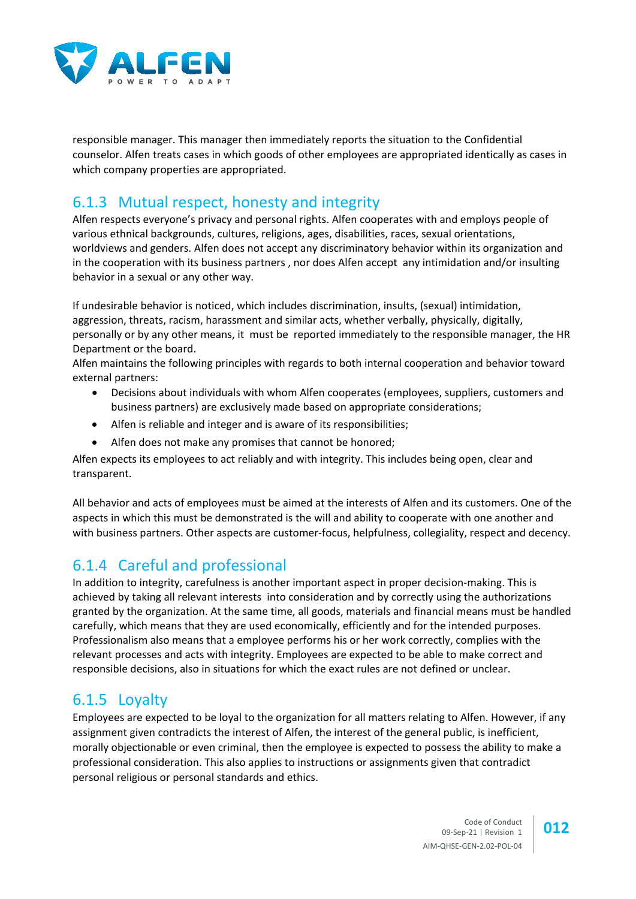

responsible manager. This manager then immediately reports the situation to the Confidential counselor. Alfen treats cases in which goods of other employees are appropriated identically as cases in which company properties are appropriated.

#### 6.1.3 Mutual respect, honesty and integrity

Alfen respects everyone's privacy and personal rights. Alfen cooperates with and employs people of various ethnical backgrounds, cultures, religions, ages, disabilities, races, sexual orientations, worldviews and genders. Alfen does not accept any discriminatory behavior within its organization and in the cooperation with its business partners , nor does Alfen accept any intimidation and/or insulting behavior in a sexual or any other way.

If undesirable behavior is noticed, which includes discrimination, insults, (sexual) intimidation, aggression, threats, racism, harassment and similar acts, whether verbally, physically, digitally, personally or by any other means, it must be reported immediately to the responsible manager, the HR Department or the board.

Alfen maintains the following principles with regards to both internal cooperation and behavior toward external partners:

- Decisions about individuals with whom Alfen cooperates (employees, suppliers, customers and business partners) are exclusively made based on appropriate considerations;
- Alfen is reliable and integer and is aware of its responsibilities;
- Alfen does not make any promises that cannot be honored;

Alfen expects its employees to act reliably and with integrity. This includes being open, clear and transparent.

All behavior and acts of employees must be aimed at the interests of Alfen and its customers. One of the aspects in which this must be demonstrated is the will and ability to cooperate with one another and with business partners. Other aspects are customer-focus, helpfulness, collegiality, respect and decency.

## 6.1.4 Careful and professional

In addition to integrity, carefulness is another important aspect in proper decision-making. This is achieved by taking all relevant interests into consideration and by correctly using the authorizations granted by the organization. At the same time, all goods, materials and financial means must be handled carefully, which means that they are used economically, efficiently and for the intended purposes. Professionalism also means that a employee performs his or her work correctly, complies with the relevant processes and acts with integrity. Employees are expected to be able to make correct and responsible decisions, also in situations for which the exact rules are not defined or unclear.

#### 6.1.5 Loyalty

Employees are expected to be loyal to the organization for all matters relating to Alfen. However, if any assignment given contradicts the interest of Alfen, the interest of the general public, is inefficient, morally objectionable or even criminal, then the employee is expected to possess the ability to make a professional consideration. This also applies to instructions or assignments given that contradict personal religious or personal standards and ethics.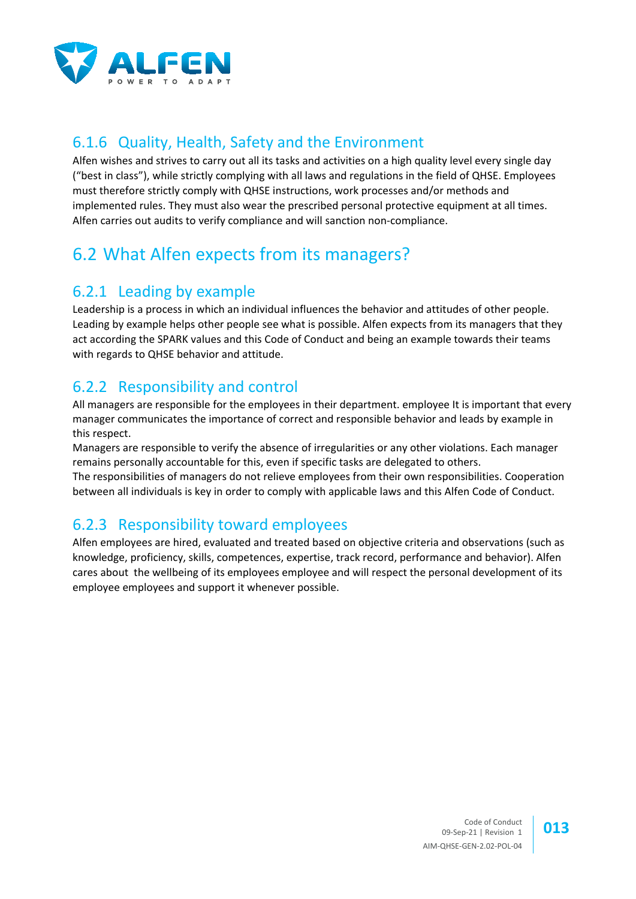

## 6.1.6 Quality, Health, Safety and the Environment

Alfen wishes and strives to carry out all its tasks and activities on a high quality level every single day ("best in class"), while strictly complying with all laws and regulations in the field of QHSE. Employees must therefore strictly comply with QHSE instructions, work processes and/or methods and implemented rules. They must also wear the prescribed personal protective equipment at all times. Alfen carries out audits to verify compliance and will sanction non-compliance.

## 6.2 What Alfen expects from its managers?

## 6.2.1 Leading by example

Leadership is a process in which an individual influences the behavior and attitudes of other people. Leading by example helps other people see what is possible. Alfen expects from its managers that they act according the SPARK values and this Code of Conduct and being an example towards their teams with regards to QHSE behavior and attitude.

## 6.2.2 Responsibility and control

All managers are responsible for the employees in their department. employee It is important that every manager communicates the importance of correct and responsible behavior and leads by example in this respect.

Managers are responsible to verify the absence of irregularities or any other violations. Each manager remains personally accountable for this, even if specific tasks are delegated to others.

The responsibilities of managers do not relieve employees from their own responsibilities. Cooperation between all individuals is key in order to comply with applicable laws and this Alfen Code of Conduct.

## 6.2.3 Responsibility toward employees

Alfen employees are hired, evaluated and treated based on objective criteria and observations (such as knowledge, proficiency, skills, competences, expertise, track record, performance and behavior). Alfen cares about the wellbeing of its employees employee and will respect the personal development of its employee employees and support it whenever possible.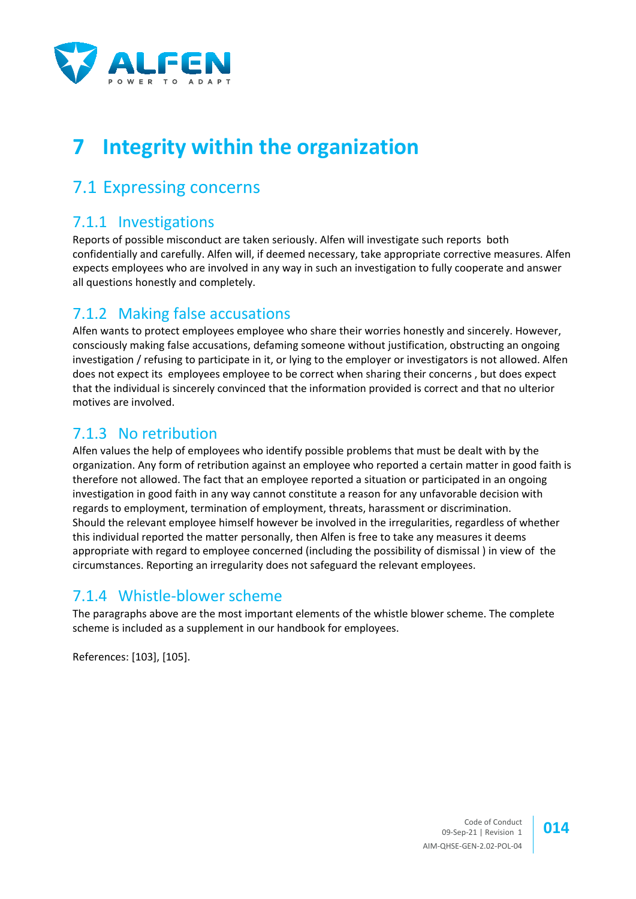

# **7 Integrity within the organization**

## 7.1 Expressing concerns

#### 7.1.1 Investigations

Reports of possible misconduct are taken seriously. Alfen will investigate such reports both confidentially and carefully. Alfen will, if deemed necessary, take appropriate corrective measures. Alfen expects employees who are involved in any way in such an investigation to fully cooperate and answer all questions honestly and completely.

## 7.1.2 Making false accusations

Alfen wants to protect employees employee who share their worries honestly and sincerely. However, consciously making false accusations, defaming someone without justification, obstructing an ongoing investigation / refusing to participate in it, or lying to the employer or investigators is not allowed. Alfen does not expect its employees employee to be correct when sharing their concerns , but does expect that the individual is sincerely convinced that the information provided is correct and that no ulterior motives are involved.

## 7.1.3 No retribution

Alfen values the help of employees who identify possible problems that must be dealt with by the organization. Any form of retribution against an employee who reported a certain matter in good faith is therefore not allowed. The fact that an employee reported a situation or participated in an ongoing investigation in good faith in any way cannot constitute a reason for any unfavorable decision with regards to employment, termination of employment, threats, harassment or discrimination. Should the relevant employee himself however be involved in the irregularities, regardless of whether this individual reported the matter personally, then Alfen is free to take any measures it deems appropriate with regard to employee concerned (including the possibility of dismissal ) in view of the circumstances. Reporting an irregularity does not safeguard the relevant employees.

#### 7.1.4 Whistle-blower scheme

The paragraphs above are the most important elements of the whistle blower scheme. The complete scheme is included as a supplement in our handbook for employees.

References: [\[103\],](#page-8-5) [\[105\].](#page-8-6)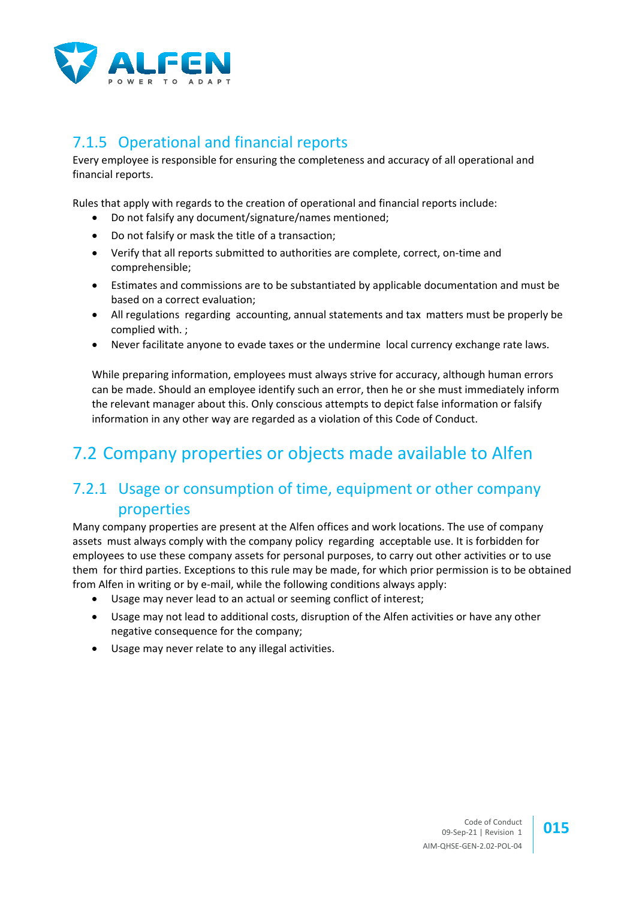

## 7.1.5 Operational and financial reports

Every employee is responsible for ensuring the completeness and accuracy of all operational and financial reports.

Rules that apply with regards to the creation of operational and financial reports include:

- Do not falsify any document/signature/names mentioned;
- Do not falsify or mask the title of a transaction;
- Verify that all reports submitted to authorities are complete, correct, on-time and comprehensible;
- Estimates and commissions are to be substantiated by applicable documentation and must be based on a correct evaluation;
- All regulations regarding accounting, annual statements and tax matters must be properly be complied with. ;
- Never facilitate anyone to evade taxes or the undermine local currency exchange rate laws.

While preparing information, employees must always strive for accuracy, although human errors can be made. Should an employee identify such an error, then he or she must immediately inform the relevant manager about this. Only conscious attempts to depict false information or falsify information in any other way are regarded as a violation of this Code of Conduct.

## 7.2 Company properties or objects made available to Alfen

#### 7.2.1 Usage or consumption of time, equipment or other company properties

Many company properties are present at the Alfen offices and work locations. The use of company assets must always comply with the company policy regarding acceptable use. It is forbidden for employees to use these company assets for personal purposes, to carry out other activities or to use them for third parties. Exceptions to this rule may be made, for which prior permission is to be obtained from Alfen in writing or by e-mail, while the following conditions always apply:

- Usage may never lead to an actual or seeming conflict of interest;
- Usage may not lead to additional costs, disruption of the Alfen activities or have any other negative consequence for the company;
- Usage may never relate to any illegal activities.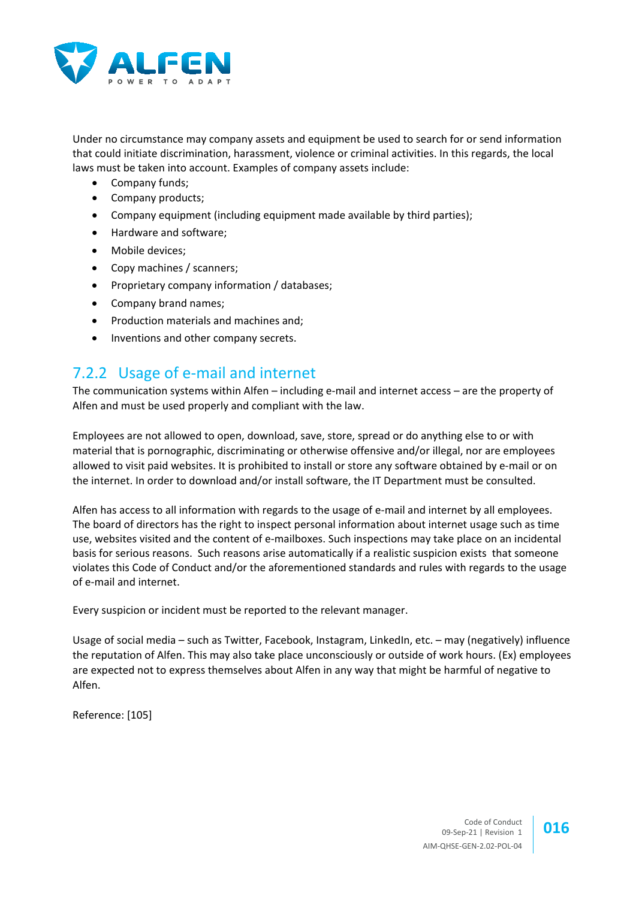

Under no circumstance may company assets and equipment be used to search for or send information that could initiate discrimination, harassment, violence or criminal activities. In this regards, the local laws must be taken into account. Examples of company assets include:

- Company funds:
- Company products;
- Company equipment (including equipment made available by third parties);
- Hardware and software;
- Mobile devices;
- Copy machines / scanners;
- Proprietary company information / databases;
- Company brand names;
- Production materials and machines and;
- Inventions and other company secrets.

#### 7.2.2 Usage of e-mail and internet

The communication systems within Alfen – including e-mail and internet access – are the property of Alfen and must be used properly and compliant with the law.

Employees are not allowed to open, download, save, store, spread or do anything else to or with material that is pornographic, discriminating or otherwise offensive and/or illegal, nor are employees allowed to visit paid websites. It is prohibited to install or store any software obtained by e-mail or on the internet. In order to download and/or install software, the IT Department must be consulted.

Alfen has access to all information with regards to the usage of e-mail and internet by all employees. The board of directors has the right to inspect personal information about internet usage such as time use, websites visited and the content of e-mailboxes. Such inspections may take place on an incidental basis for serious reasons. Such reasons arise automatically if a realistic suspicion exists that someone violates this Code of Conduct and/or the aforementioned standards and rules with regards to the usage of e-mail and internet.

Every suspicion or incident must be reported to the relevant manager.

Usage of social media – such as Twitter, Facebook, Instagram, LinkedIn, etc. – may (negatively) influence the reputation of Alfen. This may also take place unconsciously or outside of work hours. (Ex) employees are expected not to express themselves about Alfen in any way that might be harmful of negative to Alfen.

Reference: [\[105\]](#page-8-6)

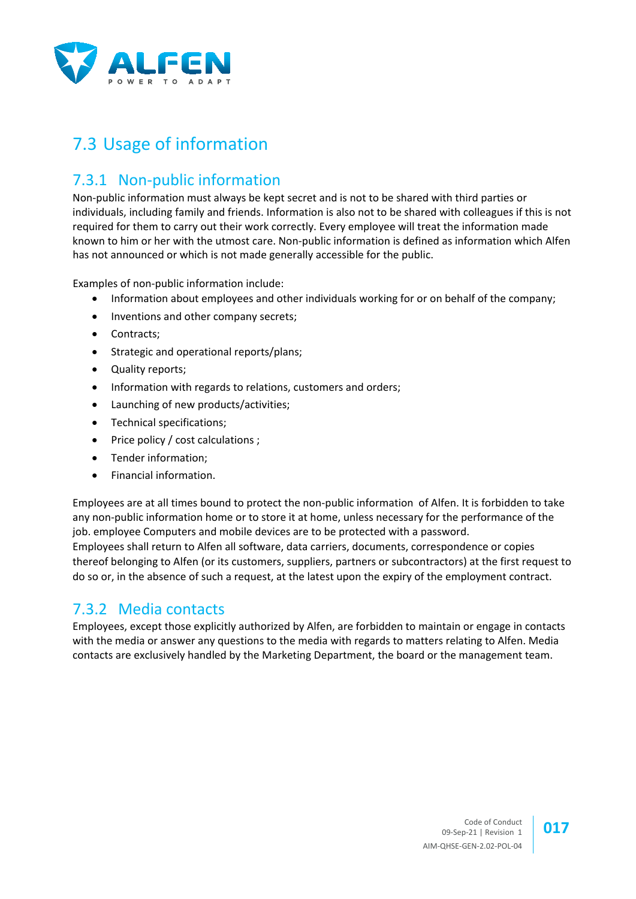

## 7.3 Usage of information

## 7.3.1 Non-public information

Non-public information must always be kept secret and is not to be shared with third parties or individuals, including family and friends. Information is also not to be shared with colleagues if this is not required for them to carry out their work correctly. Every employee will treat the information made known to him or her with the utmost care. Non-public information is defined as information which Alfen has not announced or which is not made generally accessible for the public.

Examples of non-public information include:

- Information about employees and other individuals working for or on behalf of the company;
- Inventions and other company secrets;
- Contracts;
- Strategic and operational reports/plans;
- Quality reports;
- Information with regards to relations, customers and orders;
- Launching of new products/activities;
- Technical specifications;
- Price policy / cost calculations ;
- Tender information;
- Financial information.

Employees are at all times bound to protect the non-public information of Alfen. It is forbidden to take any non-public information home or to store it at home, unless necessary for the performance of the job. employee Computers and mobile devices are to be protected with a password. Employees shall return to Alfen all software, data carriers, documents, correspondence or copies thereof belonging to Alfen (or its customers, suppliers, partners or subcontractors) at the first request to do so or, in the absence of such a request, at the latest upon the expiry of the employment contract.

#### 7.3.2 Media contacts

Employees, except those explicitly authorized by Alfen, are forbidden to maintain or engage in contacts with the media or answer any questions to the media with regards to matters relating to Alfen. Media contacts are exclusively handled by the Marketing Department, the board or the management team.

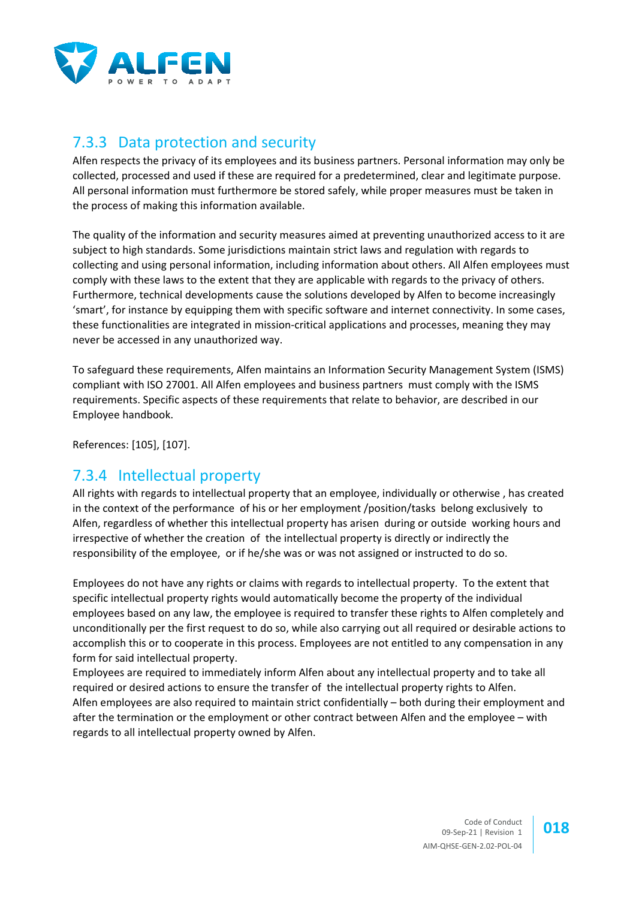

## 7.3.3 Data protection and security

Alfen respects the privacy of its employees and its business partners. Personal information may only be collected, processed and used if these are required for a predetermined, clear and legitimate purpose. All personal information must furthermore be stored safely, while proper measures must be taken in the process of making this information available.

The quality of the information and security measures aimed at preventing unauthorized access to it are subject to high standards. Some jurisdictions maintain strict laws and regulation with regards to collecting and using personal information, including information about others. All Alfen employees must comply with these laws to the extent that they are applicable with regards to the privacy of others. Furthermore, technical developments cause the solutions developed by Alfen to become increasingly 'smart', for instance by equipping them with specific software and internet connectivity. In some cases, these functionalities are integrated in mission-critical applications and processes, meaning they may never be accessed in any unauthorized way.

To safeguard these requirements, Alfen maintains an Information Security Management System (ISMS) compliant with ISO 27001. All Alfen employees and business partners must comply with the ISMS requirements. Specific aspects of these requirements that relate to behavior, are described in our Employee handbook.

References: [\[105\],](#page-8-6) [\[107\].](#page-8-7)

## 7.3.4 Intellectual property

All rights with regards to intellectual property that an employee, individually or otherwise , has created in the context of the performance of his or her employment /position/tasks belong exclusively to Alfen, regardless of whether this intellectual property has arisen during or outside working hours and irrespective of whether the creation of the intellectual property is directly or indirectly the responsibility of the employee, or if he/she was or was not assigned or instructed to do so.

Employees do not have any rights or claims with regards to intellectual property. To the extent that specific intellectual property rights would automatically become the property of the individual employees based on any law, the employee is required to transfer these rights to Alfen completely and unconditionally per the first request to do so, while also carrying out all required or desirable actions to accomplish this or to cooperate in this process. Employees are not entitled to any compensation in any form for said intellectual property.

Employees are required to immediately inform Alfen about any intellectual property and to take all required or desired actions to ensure the transfer of the intellectual property rights to Alfen. Alfen employees are also required to maintain strict confidentially – both during their employment and after the termination or the employment or other contract between Alfen and the employee – with regards to all intellectual property owned by Alfen.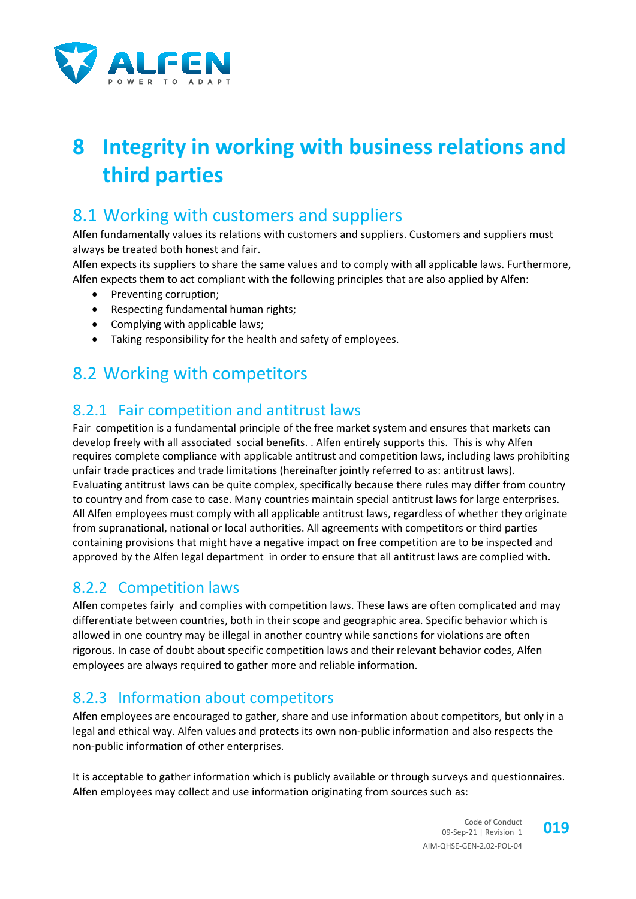

# **8 Integrity in working with business relations and third parties**

## 8.1 Working with customers and suppliers

Alfen fundamentally values its relations with customers and suppliers. Customers and suppliers must always be treated both honest and fair.

Alfen expects its suppliers to share the same values and to comply with all applicable laws. Furthermore, Alfen expects them to act compliant with the following principles that are also applied by Alfen:

- Preventing corruption;
- Respecting fundamental human rights;
- Complying with applicable laws;
- Taking responsibility for the health and safety of employees.

## 8.2 Working with competitors

## 8.2.1 Fair competition and antitrust laws

Fair competition is a fundamental principle of the free market system and ensures that markets can develop freely with all associated social benefits. . Alfen entirely supports this. This is why Alfen requires complete compliance with applicable antitrust and competition laws, including laws prohibiting unfair trade practices and trade limitations (hereinafter jointly referred to as: antitrust laws). Evaluating antitrust laws can be quite complex, specifically because there rules may differ from country to country and from case to case. Many countries maintain special antitrust laws for large enterprises. All Alfen employees must comply with all applicable antitrust laws, regardless of whether they originate from supranational, national or local authorities. All agreements with competitors or third parties containing provisions that might have a negative impact on free competition are to be inspected and approved by the Alfen legal department in order to ensure that all antitrust laws are complied with.

## 8.2.2 Competition laws

Alfen competes fairly and complies with competition laws. These laws are often complicated and may differentiate between countries, both in their scope and geographic area. Specific behavior which is allowed in one country may be illegal in another country while sanctions for violations are often rigorous. In case of doubt about specific competition laws and their relevant behavior codes, Alfen employees are always required to gather more and reliable information.

## 8.2.3 Information about competitors

Alfen employees are encouraged to gather, share and use information about competitors, but only in a legal and ethical way. Alfen values and protects its own non-public information and also respects the non-public information of other enterprises.

It is acceptable to gather information which is publicly available or through surveys and questionnaires. Alfen employees may collect and use information originating from sources such as:

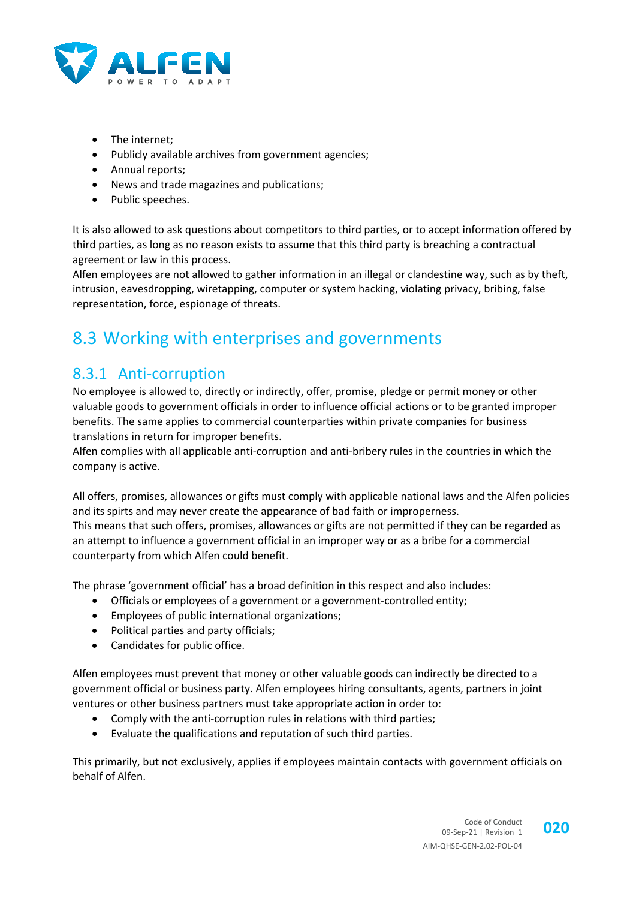

- The internet;
- Publicly available archives from government agencies;
- Annual reports;
- News and trade magazines and publications;
- Public speeches.

It is also allowed to ask questions about competitors to third parties, or to accept information offered by third parties, as long as no reason exists to assume that this third party is breaching a contractual agreement or law in this process.

Alfen employees are not allowed to gather information in an illegal or clandestine way, such as by theft, intrusion, eavesdropping, wiretapping, computer or system hacking, violating privacy, bribing, false representation, force, espionage of threats.

## 8.3 Working with enterprises and governments

## 8.3.1 Anti-corruption

No employee is allowed to, directly or indirectly, offer, promise, pledge or permit money or other valuable goods to government officials in order to influence official actions or to be granted improper benefits. The same applies to commercial counterparties within private companies for business translations in return for improper benefits.

Alfen complies with all applicable anti-corruption and anti-bribery rules in the countries in which the company is active.

All offers, promises, allowances or gifts must comply with applicable national laws and the Alfen policies and its spirts and may never create the appearance of bad faith or improperness. This means that such offers, promises, allowances or gifts are not permitted if they can be regarded as

an attempt to influence a government official in an improper way or as a bribe for a commercial counterparty from which Alfen could benefit.

The phrase 'government official' has a broad definition in this respect and also includes:

- Officials or employees of a government or a government-controlled entity;
- Employees of public international organizations;
- Political parties and party officials;
- Candidates for public office.

Alfen employees must prevent that money or other valuable goods can indirectly be directed to a government official or business party. Alfen employees hiring consultants, agents, partners in joint ventures or other business partners must take appropriate action in order to:

- Comply with the anti-corruption rules in relations with third parties;
- Evaluate the qualifications and reputation of such third parties.

This primarily, but not exclusively, applies if employees maintain contacts with government officials on behalf of Alfen.

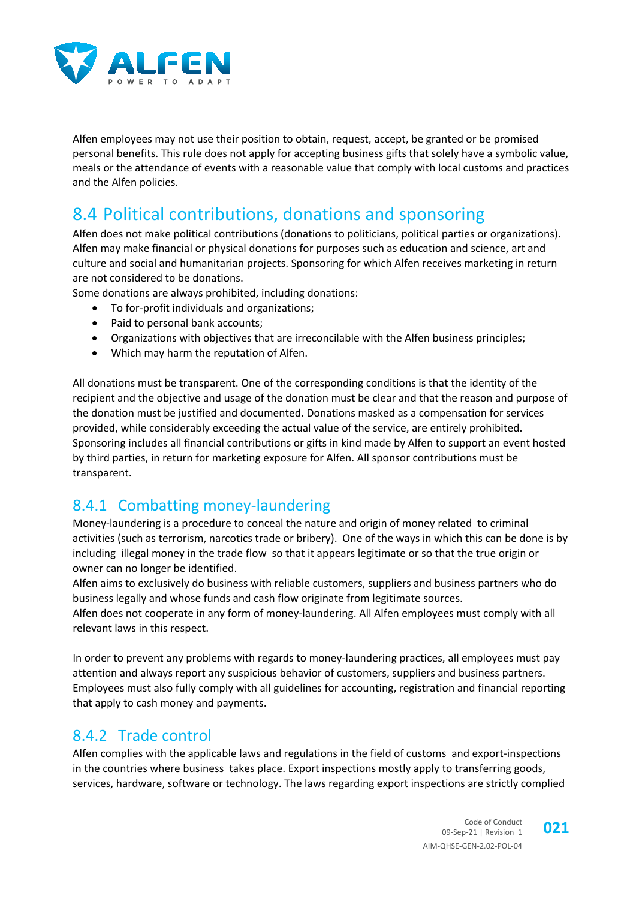

Alfen employees may not use their position to obtain, request, accept, be granted or be promised personal benefits. This rule does not apply for accepting business gifts that solely have a symbolic value, meals or the attendance of events with a reasonable value that comply with local customs and practices and the Alfen policies.

## 8.4 Political contributions, donations and sponsoring

Alfen does not make political contributions (donations to politicians, political parties or organizations). Alfen may make financial or physical donations for purposes such as education and science, art and culture and social and humanitarian projects. Sponsoring for which Alfen receives marketing in return are not considered to be donations.

Some donations are always prohibited, including donations:

- To for-profit individuals and organizations;
- Paid to personal bank accounts:
- Organizations with objectives that are irreconcilable with the Alfen business principles;
- Which may harm the reputation of Alfen.

All donations must be transparent. One of the corresponding conditions is that the identity of the recipient and the objective and usage of the donation must be clear and that the reason and purpose of the donation must be justified and documented. Donations masked as a compensation for services provided, while considerably exceeding the actual value of the service, are entirely prohibited. Sponsoring includes all financial contributions or gifts in kind made by Alfen to support an event hosted by third parties, in return for marketing exposure for Alfen. All sponsor contributions must be transparent.

## 8.4.1 Combatting money-laundering

Money-laundering is a procedure to conceal the nature and origin of money related to criminal activities (such as terrorism, narcotics trade or bribery). One of the ways in which this can be done is by including illegal money in the trade flow so that it appears legitimate or so that the true origin or owner can no longer be identified.

Alfen aims to exclusively do business with reliable customers, suppliers and business partners who do business legally and whose funds and cash flow originate from legitimate sources.

Alfen does not cooperate in any form of money-laundering. All Alfen employees must comply with all relevant laws in this respect.

In order to prevent any problems with regards to money-laundering practices, all employees must pay attention and always report any suspicious behavior of customers, suppliers and business partners. Employees must also fully comply with all guidelines for accounting, registration and financial reporting that apply to cash money and payments.

#### 8.4.2 Trade control

Alfen complies with the applicable laws and regulations in the field of customs and export-inspections in the countries where business takes place. Export inspections mostly apply to transferring goods, services, hardware, software or technology. The laws regarding export inspections are strictly complied

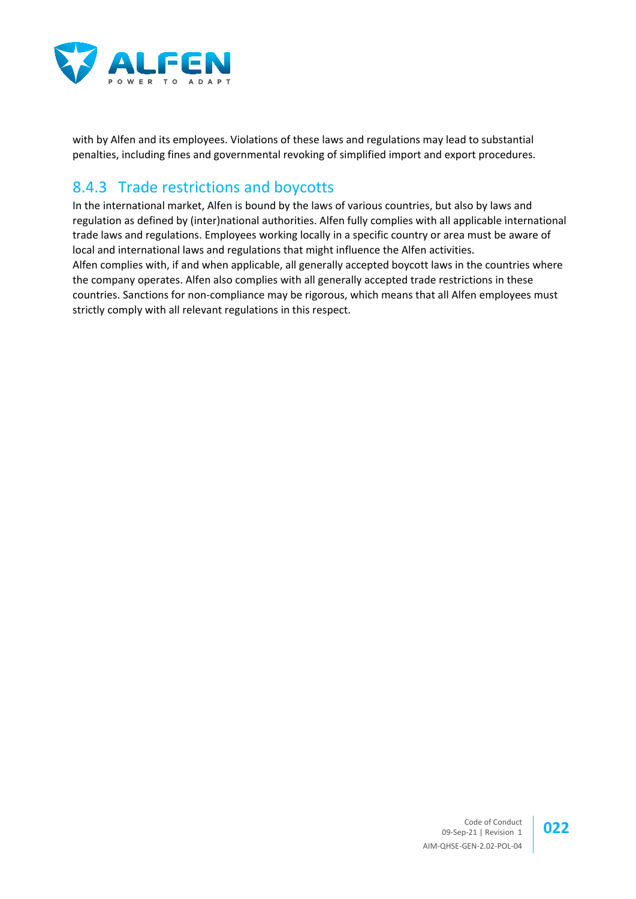

with by Alfen and its employees. Violations of these laws and regulations may lead to substantial penalties, including fines and governmental revoking of simplified import and export procedures.

#### 8.4.3 Trade restrictions and boycotts

In the international market, Alfen is bound by the laws of various countries, but also by laws and regulation as defined by (inter)national authorities. Alfen fully complies with all applicable international trade laws and regulations. Employees working locally in a specific country or area must be aware of local and international laws and regulations that might influence the Alfen activities. Alfen complies with, if and when applicable, all generally accepted boycott laws in the countries where the company operates. Alfen also complies with all generally accepted trade restrictions in these countries. Sanctions for non-compliance may be rigorous, which means that all Alfen employees must strictly comply with all relevant regulations in this respect.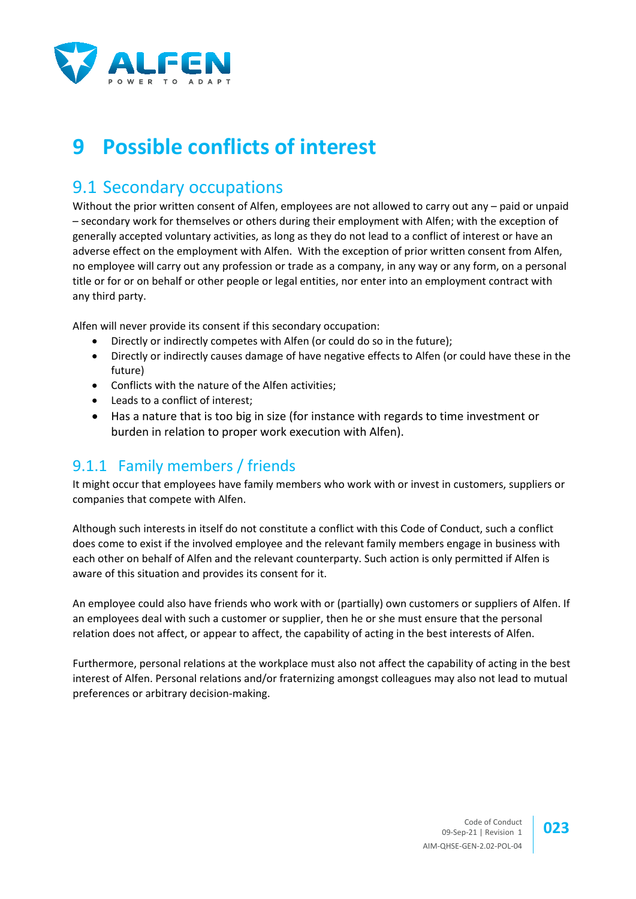

# **9 Possible conflicts of interest**

## 9.1 Secondary occupations

Without the prior written consent of Alfen, employees are not allowed to carry out any – paid or unpaid – secondary work for themselves or others during their employment with Alfen; with the exception of generally accepted voluntary activities, as long as they do not lead to a conflict of interest or have an adverse effect on the employment with Alfen. With the exception of prior written consent from Alfen, no employee will carry out any profession or trade as a company, in any way or any form, on a personal title or for or on behalf or other people or legal entities, nor enter into an employment contract with any third party.

Alfen will never provide its consent if this secondary occupation:

- Directly or indirectly competes with Alfen (or could do so in the future);
- Directly or indirectly causes damage of have negative effects to Alfen (or could have these in the future)
- Conflicts with the nature of the Alfen activities;
- Leads to a conflict of interest;
- Has a nature that is too big in size (for instance with regards to time investment or burden in relation to proper work execution with Alfen).

## 9.1.1 Family members / friends

It might occur that employees have family members who work with or invest in customers, suppliers or companies that compete with Alfen.

Although such interests in itself do not constitute a conflict with this Code of Conduct, such a conflict does come to exist if the involved employee and the relevant family members engage in business with each other on behalf of Alfen and the relevant counterparty. Such action is only permitted if Alfen is aware of this situation and provides its consent for it.

An employee could also have friends who work with or (partially) own customers or suppliers of Alfen. If an employees deal with such a customer or supplier, then he or she must ensure that the personal relation does not affect, or appear to affect, the capability of acting in the best interests of Alfen.

Furthermore, personal relations at the workplace must also not affect the capability of acting in the best interest of Alfen. Personal relations and/or fraternizing amongst colleagues may also not lead to mutual preferences or arbitrary decision-making.

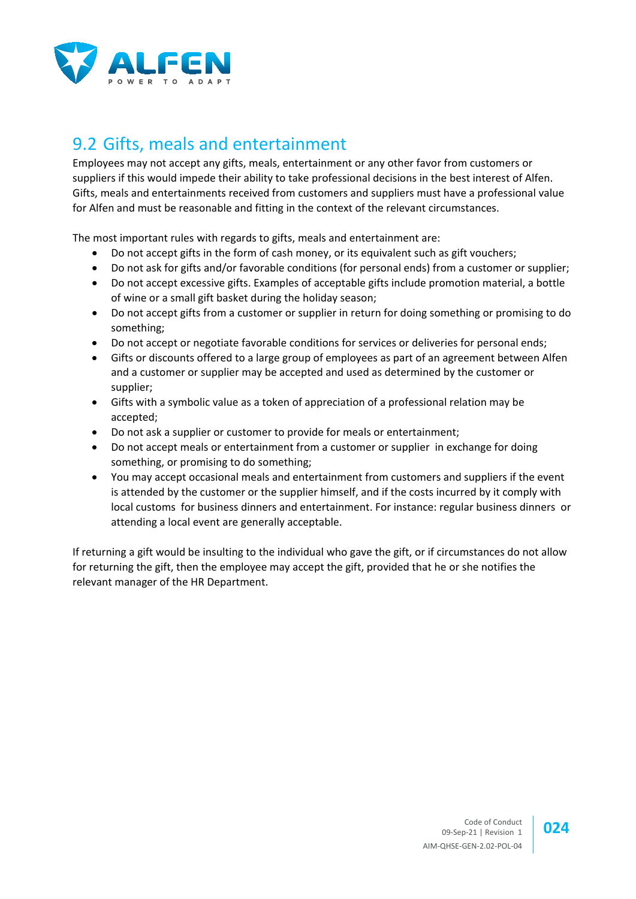

## 9.2 Gifts, meals and entertainment

Employees may not accept any gifts, meals, entertainment or any other favor from customers or suppliers if this would impede their ability to take professional decisions in the best interest of Alfen. Gifts, meals and entertainments received from customers and suppliers must have a professional value for Alfen and must be reasonable and fitting in the context of the relevant circumstances.

The most important rules with regards to gifts, meals and entertainment are:

- Do not accept gifts in the form of cash money, or its equivalent such as gift vouchers;
- Do not ask for gifts and/or favorable conditions (for personal ends) from a customer or supplier;
- Do not accept excessive gifts. Examples of acceptable gifts include promotion material, a bottle of wine or a small gift basket during the holiday season;
- Do not accept gifts from a customer or supplier in return for doing something or promising to do something;
- Do not accept or negotiate favorable conditions for services or deliveries for personal ends;
- Gifts or discounts offered to a large group of employees as part of an agreement between Alfen and a customer or supplier may be accepted and used as determined by the customer or supplier;
- Gifts with a symbolic value as a token of appreciation of a professional relation may be accepted;
- Do not ask a supplier or customer to provide for meals or entertainment;
- Do not accept meals or entertainment from a customer or supplier in exchange for doing something, or promising to do something;
- You may accept occasional meals and entertainment from customers and suppliers if the event is attended by the customer or the supplier himself, and if the costs incurred by it comply with local customs for business dinners and entertainment. For instance: regular business dinners or attending a local event are generally acceptable.

If returning a gift would be insulting to the individual who gave the gift, or if circumstances do not allow for returning the gift, then the employee may accept the gift, provided that he or she notifies the relevant manager of the HR Department.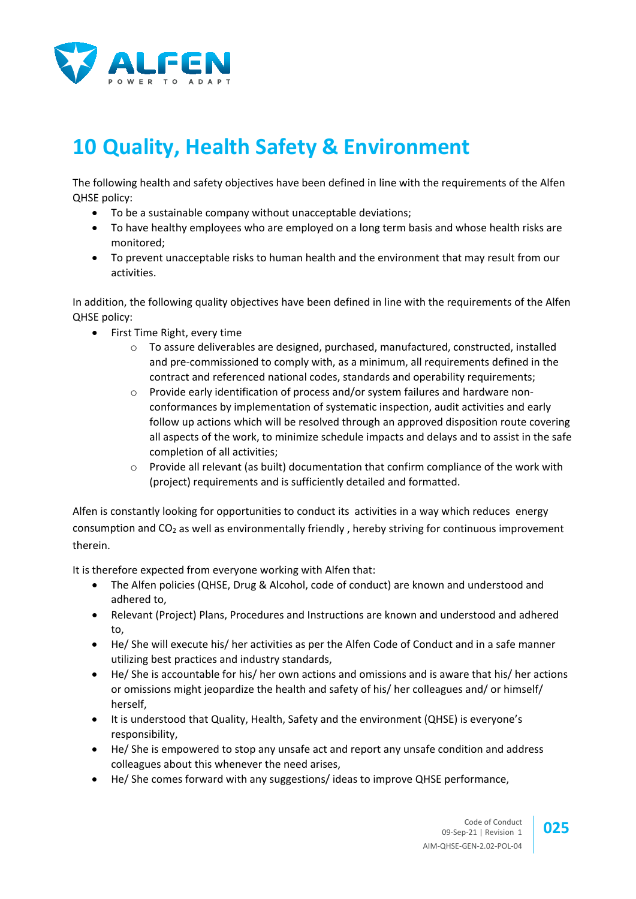

# **10 Quality, Health Safety & Environment**

The following health and safety objectives have been defined in line with the requirements of the Alfen QHSE policy:

- To be a sustainable company without unacceptable deviations;
- To have healthy employees who are employed on a long term basis and whose health risks are monitored;
- To prevent unacceptable risks to human health and the environment that may result from our activities.

In addition, the following quality objectives have been defined in line with the requirements of the Alfen QHSE policy:

- First Time Right, every time
	- o To assure deliverables are designed, purchased, manufactured, constructed, installed and pre-commissioned to comply with, as a minimum, all requirements defined in the contract and referenced national codes, standards and operability requirements;
	- $\circ$  Provide early identification of process and/or system failures and hardware nonconformances by implementation of systematic inspection, audit activities and early follow up actions which will be resolved through an approved disposition route covering all aspects of the work, to minimize schedule impacts and delays and to assist in the safe completion of all activities;
	- $\circ$  Provide all relevant (as built) documentation that confirm compliance of the work with (project) requirements and is sufficiently detailed and formatted.

Alfen is constantly looking for opportunities to conduct its activities in a way which reduces energy consumption and CO<sub>2</sub> as well as environmentally friendly, hereby striving for continuous improvement therein.

It is therefore expected from everyone working with Alfen that:

- The Alfen policies (QHSE, Drug & Alcohol, code of conduct) are known and understood and adhered to,
- Relevant (Project) Plans, Procedures and Instructions are known and understood and adhered to,
- He/ She will execute his/ her activities as per the Alfen Code of Conduct and in a safe manner utilizing best practices and industry standards,
- He/ She is accountable for his/ her own actions and omissions and is aware that his/ her actions or omissions might jeopardize the health and safety of his/ her colleagues and/ or himself/ herself,
- It is understood that Quality, Health, Safety and the environment (QHSE) is everyone's responsibility,
- He/ She is empowered to stop any unsafe act and report any unsafe condition and address colleagues about this whenever the need arises,
- He/ She comes forward with any suggestions/ ideas to improve QHSE performance,

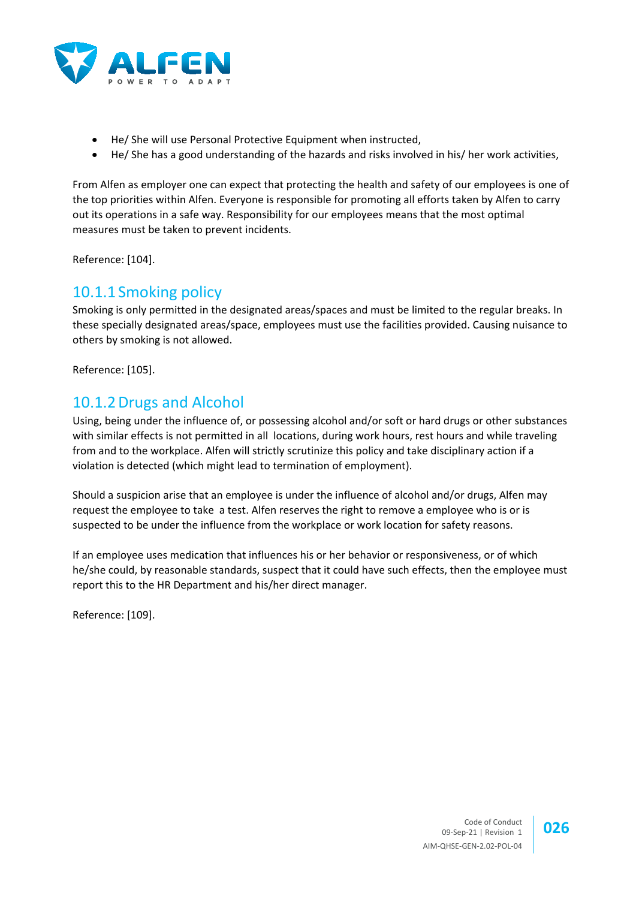

- He/ She will use Personal Protective Equipment when instructed,
- He/ She has a good understanding of the hazards and risks involved in his/ her work activities,

From Alfen as employer one can expect that protecting the health and safety of our employees is one of the top priorities within Alfen. Everyone is responsible for promoting all efforts taken by Alfen to carry out its operations in a safe way. Responsibility for our employees means that the most optimal measures must be taken to prevent incidents.

Reference: [\[104\].](#page-8-8)

#### 10.1.1 Smoking policy

Smoking is only permitted in the designated areas/spaces and must be limited to the regular breaks. In these specially designated areas/space, employees must use the facilities provided. Causing nuisance to others by smoking is not allowed.

Reference: [\[105\].](#page-8-6)

#### 10.1.2Drugs and Alcohol

Using, being under the influence of, or possessing alcohol and/or soft or hard drugs or other substances with similar effects is not permitted in all locations, during work hours, rest hours and while traveling from and to the workplace. Alfen will strictly scrutinize this policy and take disciplinary action if a violation is detected (which might lead to termination of employment).

Should a suspicion arise that an employee is under the influence of alcohol and/or drugs, Alfen may request the employee to take a test. Alfen reserves the right to remove a employee who is or is suspected to be under the influence from the workplace or work location for safety reasons.

If an employee uses medication that influences his or her behavior or responsiveness, or of which he/she could, by reasonable standards, suspect that it could have such effects, then the employee must report this to the HR Department and his/her direct manager.

Reference: [\[109\].](#page-8-9)

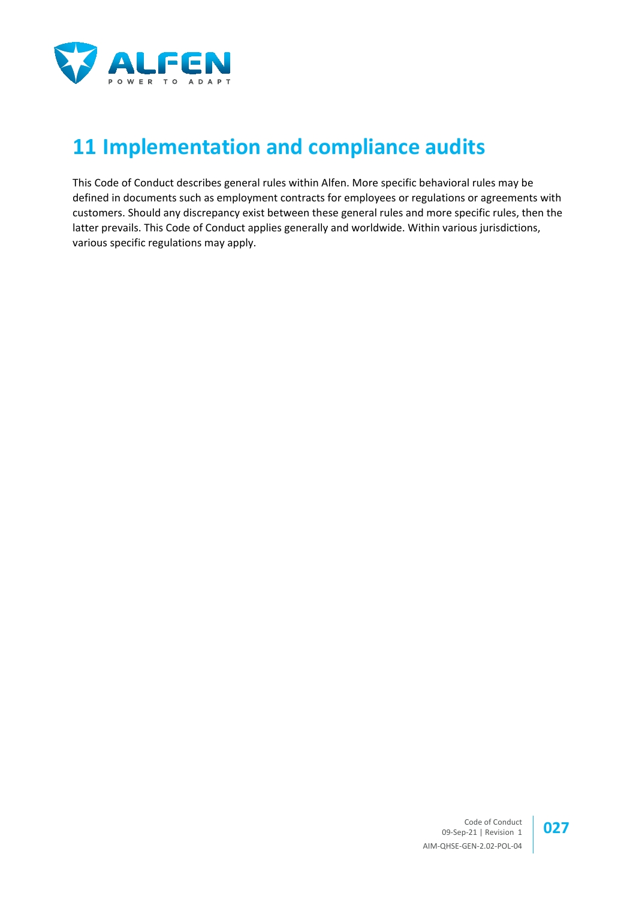

# **11 Implementation and compliance audits**

This Code of Conduct describes general rules within Alfen. More specific behavioral rules may be defined in documents such as employment contracts for employees or regulations or agreements with customers. Should any discrepancy exist between these general rules and more specific rules, then the latter prevails. This Code of Conduct applies generally and worldwide. Within various jurisdictions, various specific regulations may apply.